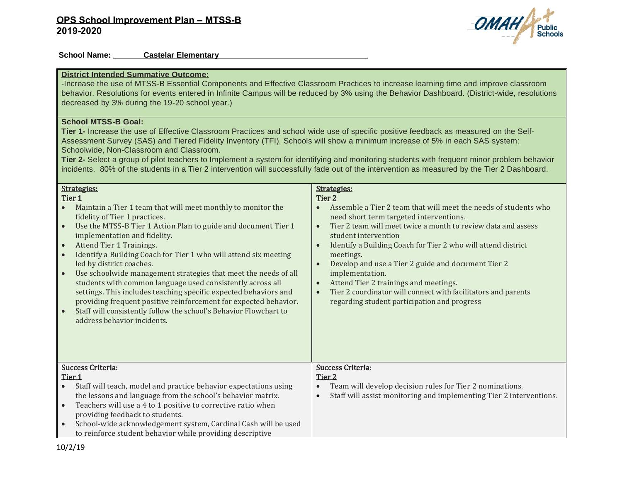### **OPS School Improvement Plan – MTSS-B 2019-2020**



**School Name: Castelar Elementary** 

### **District Intended Summative Outcome:**

-Increase the use of MTSS-B Essential Components and Effective Classroom Practices to increase learning time and improve classroom behavior. Resolutions for events entered in Infinite Campus will be reduced by 3% using the Behavior Dashboard. (District-wide, resolutions decreased by 3% during the 19-20 school year.)

### **School MTSS-B Goal:**

**Tier 1-** Increase the use of Effective Classroom Practices and school wide use of specific positive feedback as measured on the Self-Assessment Survey (SAS) and Tiered Fidelity Inventory (TFI). Schools will show a minimum increase of 5% in each SAS system: Schoolwide, Non-Classroom and Classroom.

**Tier 2-** Select a group of pilot teachers to Implement a system for identifying and monitoring students with frequent minor problem behavior incidents. 80% of the students in a Tier 2 intervention will successfully fade out of the intervention as measured by the Tier 2 Dashboard.

| <b>Strategies:</b><br>Tier 1<br>Maintain a Tier 1 team that will meet monthly to monitor the<br>fidelity of Tier 1 practices.<br>Use the MTSS-B Tier 1 Action Plan to guide and document Tier 1<br>$\bullet$<br>implementation and fidelity.<br>Attend Tier 1 Trainings.<br>$\bullet$<br>Identify a Building Coach for Tier 1 who will attend six meeting<br>$\bullet$<br>led by district coaches.<br>Use schoolwide management strategies that meet the needs of all<br>$\bullet$<br>students with common language used consistently across all<br>settings. This includes teaching specific expected behaviors and<br>providing frequent positive reinforcement for expected behavior.<br>Staff will consistently follow the school's Behavior Flowchart to<br>$\bullet$<br>address behavior incidents. | <b>Strategies:</b><br>Tier 2<br>Assemble a Tier 2 team that will meet the needs of students who<br>$\bullet$<br>need short term targeted interventions.<br>Tier 2 team will meet twice a month to review data and assess<br>$\bullet$<br>student intervention<br>Identify a Building Coach for Tier 2 who will attend district<br>$\bullet$<br>meetings.<br>Develop and use a Tier 2 guide and document Tier 2<br>$\bullet$<br>implementation.<br>Attend Tier 2 trainings and meetings.<br>$\bullet$<br>Tier 2 coordinator will connect with facilitators and parents<br>$\bullet$<br>regarding student participation and progress |
|-----------------------------------------------------------------------------------------------------------------------------------------------------------------------------------------------------------------------------------------------------------------------------------------------------------------------------------------------------------------------------------------------------------------------------------------------------------------------------------------------------------------------------------------------------------------------------------------------------------------------------------------------------------------------------------------------------------------------------------------------------------------------------------------------------------|------------------------------------------------------------------------------------------------------------------------------------------------------------------------------------------------------------------------------------------------------------------------------------------------------------------------------------------------------------------------------------------------------------------------------------------------------------------------------------------------------------------------------------------------------------------------------------------------------------------------------------|
| <b>Success Criteria:</b><br>Tier 1<br>Staff will teach, model and practice behavior expectations using<br>$\bullet$<br>the lessons and language from the school's behavior matrix.<br>Teachers will use a 4 to 1 positive to corrective ratio when<br>$\bullet$<br>providing feedback to students.<br>School-wide acknowledgement system, Cardinal Cash will be used<br>$\bullet$<br>to reinforce student behavior while providing descriptive                                                                                                                                                                                                                                                                                                                                                            | <b>Success Criteria:</b><br>Tier 2<br>Team will develop decision rules for Tier 2 nominations.<br>$\bullet$<br>Staff will assist monitoring and implementing Tier 2 interventions.<br>$\bullet$                                                                                                                                                                                                                                                                                                                                                                                                                                    |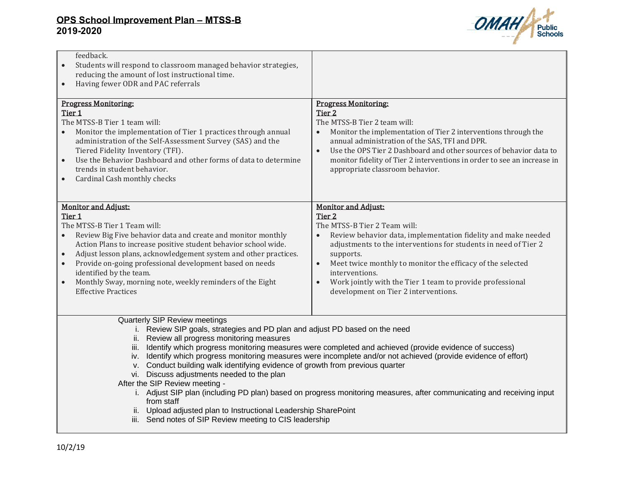# **OPS School Improvement Plan – MTSS-B 2019-2020**



| feedback.<br>Students will respond to classroom managed behavior strategies,<br>reducing the amount of lost instructional time.<br>Having fewer ODR and PAC referrals<br><b>Progress Monitoring:</b><br>Tier 1<br>The MTSS-B Tier 1 team will:<br>Monitor the implementation of Tier 1 practices through annual<br>administration of the Self-Assessment Survey (SAS) and the<br>Tiered Fidelity Inventory (TFI).<br>Use the Behavior Dashboard and other forms of data to determine<br>trends in student behavior.<br>Cardinal Cash monthly checks<br>$\bullet$ | <b>Progress Monitoring:</b><br>Tier <sub>2</sub><br>The MTSS-B Tier 2 team will:<br>Monitor the implementation of Tier 2 interventions through the<br>annual administration of the SAS, TFI and DPR.<br>$\bullet$<br>Use the OPS Tier 2 Dashboard and other sources of behavior data to<br>monitor fidelity of Tier 2 interventions in order to see an increase in<br>appropriate classroom behavior.                 |  |  |  |
|------------------------------------------------------------------------------------------------------------------------------------------------------------------------------------------------------------------------------------------------------------------------------------------------------------------------------------------------------------------------------------------------------------------------------------------------------------------------------------------------------------------------------------------------------------------|-----------------------------------------------------------------------------------------------------------------------------------------------------------------------------------------------------------------------------------------------------------------------------------------------------------------------------------------------------------------------------------------------------------------------|--|--|--|
| <b>Monitor and Adjust:</b><br>Tier <sub>1</sub><br>The MTSS-B Tier 1 Team will:<br>Review Big Five behavior data and create and monitor monthly<br>Action Plans to increase positive student behavior school wide.<br>Adjust lesson plans, acknowledgement system and other practices.<br>Provide on-going professional development based on needs<br>identified by the team.<br>Monthly Sway, morning note, weekly reminders of the Eight<br><b>Effective Practices</b>                                                                                         | <b>Monitor and Adjust:</b><br>Tier <sub>2</sub><br>The MTSS-B Tier 2 Team will:<br>Review behavior data, implementation fidelity and make needed<br>adjustments to the interventions for students in need of Tier 2<br>supports.<br>Meet twice monthly to monitor the efficacy of the selected<br>interventions.<br>Work jointly with the Tier 1 team to provide professional<br>development on Tier 2 interventions. |  |  |  |
| Quarterly SIP Review meetings<br>i. Review SIP goals, strategies and PD plan and adjust PD based on the need<br>ii. Review all progress monitoring measures<br>v. Conduct building walk identifying evidence of growth from previous quarter<br>vi. Discuss adjustments needed to the plan<br>After the SIP Review meeting -<br>from staff<br>ii. Upload adjusted plan to Instructional Leadership SharePoint<br>iii. Send notes of SIP Review meeting to CIS leadership                                                                                         | iii. Identify which progress monitoring measures were completed and achieved (provide evidence of success)<br>iv. Identify which progress monitoring measures were incomplete and/or not achieved (provide evidence of effort)<br>i. Adjust SIP plan (including PD plan) based on progress monitoring measures, after communicating and receiving input                                                               |  |  |  |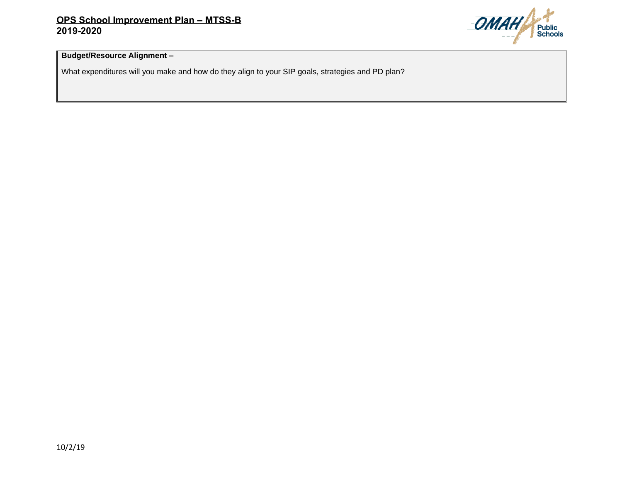

# **Budget/Resource Alignment –**

What expenditures will you make and how do they align to your SIP goals, strategies and PD plan?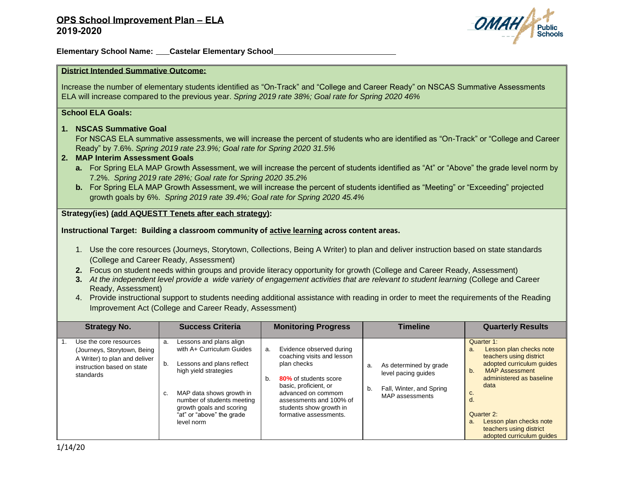# **OPS School Improvement Plan – ELA 2019-2020**



**Elementary School Name: Castelar Elementary School** 

### **District Intended Summative Outcome:**

Increase the number of elementary students identified as "On-Track" and "College and Career Ready" on NSCAS Summative Assessments ELA will increase compared to the previous year. *Spring 2019 rate 38%; Goal rate for Spring 2020 46%*

### **School ELA Goals:**

### **1. NSCAS Summative Goal**

For NSCAS ELA summative assessments, we will increase the percent of students who are identified as "On-Track" or "College and Career Ready" by 7.6%. *Spring 2019 rate 23.9%; Goal rate for Spring 2020 31.5%*

### **2. MAP Interim Assessment Goals**

- **a.** For Spring ELA MAP Growth Assessment, we will increase the percent of students identified as "At" or "Above" the grade level norm by 7.2%. *Spring 2019 rate 28%; Goal rate for Spring 2020 35.2%*
- **b.** For Spring ELA MAP Growth Assessment, we will increase the percent of students identified as "Meeting" or "Exceeding" projected growth goals by 6%. *Spring 2019 rate 39.4%; Goal rate for Spring 2020 45.4%*

### **Strategy(ies) (add AQUESTT Tenets after each strategy):**

**Instructional Target: Building a classroom community of active learning across content areas.**

- 1. Use the core resources (Journeys, Storytown, Collections, Being A Writer) to plan and deliver instruction based on state standards (College and Career Ready, Assessment)
- **2.** Focus on student needs within groups and provide literacy opportunity for growth (College and Career Ready, Assessment)
- **3.** *At the independent level provide a wide variety of engagement activities that are relevant to student learning* (College and Career Ready, Assessment)
- 4. Provide instructional support to students needing additional assistance with reading in order to meet the requirements of the Reading Improvement Act (College and Career Ready, Assessment)

| <b>Strategy No.</b>                                                                                                                                   | <b>Success Criteria</b>                                                                                                                                                                                                                                 | <b>Monitoring Progress</b>                                                                                                                                                                                                                | <b>Timeline</b>                                                                                          | <b>Quarterly Results</b>                                                                                                                                                                                                                                                                  |
|-------------------------------------------------------------------------------------------------------------------------------------------------------|---------------------------------------------------------------------------------------------------------------------------------------------------------------------------------------------------------------------------------------------------------|-------------------------------------------------------------------------------------------------------------------------------------------------------------------------------------------------------------------------------------------|----------------------------------------------------------------------------------------------------------|-------------------------------------------------------------------------------------------------------------------------------------------------------------------------------------------------------------------------------------------------------------------------------------------|
| $\overline{1}$ .<br>Use the core resources<br>(Journeys, Storytown, Being<br>A Writer) to plan and deliver<br>instruction based on state<br>standards | Lessons and plans align<br>a.<br>with A+ Curriculum Guides<br>Lessons and plans reflect<br>b.<br>high yield strategies<br>MAP data shows growth in<br>number of students meeting<br>growth goals and scoring<br>"at" or "above" the grade<br>level norm | Evidence observed during<br>а.<br>coaching visits and lesson<br>plan checks<br>80% of students score<br>b.<br>basic, proficient, or<br>advanced on commom<br>assessments and 100% of<br>students show growth in<br>formative assessments. | As determined by grade<br>a.<br>level pacing guides<br>Fall, Winter, and Spring<br>b.<br>MAP assessments | Quarter 1:<br>Lesson plan checks note<br>a.<br>teachers using district<br>adopted curriculum quides<br><b>MAP Assessment</b><br>b.<br>administered as baseline<br>data<br>c.<br>d.<br>Quarter 2:<br>Lesson plan checks note<br>a.<br>teachers using district<br>adopted curriculum quides |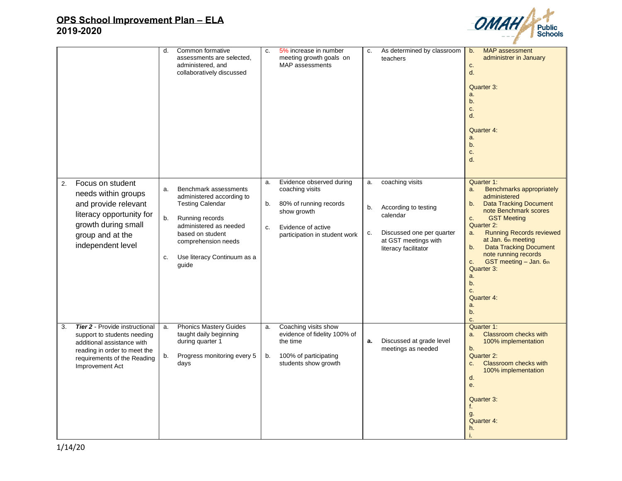# **OPS School Improvement Plan – ELA 2019-2020**



|                                                                                                                                                                                            | d.             | Common formative<br>assessments are selected,<br>administered, and<br>collaboratively discussed                                                                                                               | C.             | 5% increase in number<br>meeting growth goals on<br><b>MAP</b> assessments                                                                  | C.             | As determined by classroom<br>teachers                                                                                           | <b>MAP</b> assessment<br>b.<br>administrer in January<br>c.<br>d.<br>Quarter 3:<br>a.<br>b.<br>c.<br>d.<br>Quarter 4:<br>a.<br>b.<br>c.<br>d.                                                                                                                                                                                                                                                               |
|--------------------------------------------------------------------------------------------------------------------------------------------------------------------------------------------|----------------|---------------------------------------------------------------------------------------------------------------------------------------------------------------------------------------------------------------|----------------|---------------------------------------------------------------------------------------------------------------------------------------------|----------------|----------------------------------------------------------------------------------------------------------------------------------|-------------------------------------------------------------------------------------------------------------------------------------------------------------------------------------------------------------------------------------------------------------------------------------------------------------------------------------------------------------------------------------------------------------|
| Focus on student<br>2.<br>needs within groups<br>and provide relevant<br>literacy opportunity for<br>growth during small<br>group and at the<br>independent level                          | a.<br>b.<br>C. | Benchmark assessments<br>administered according to<br><b>Testing Calendar</b><br>Running records<br>administered as needed<br>based on student<br>comprehension needs<br>Use literacy Continuum as a<br>guide | a.<br>b.<br>c. | Evidence observed during<br>coaching visits<br>80% of running records<br>show growth<br>Evidence of active<br>participation in student work | a.<br>b.<br>c. | coaching visits<br>According to testing<br>calendar<br>Discussed one per quarter<br>at GST meetings with<br>literacy facilitator | Quarter 1:<br>Benchmarks appropriately<br>a.<br>administered<br><b>Data Tracking Document</b><br>b.<br>note Benchmark scores<br><b>GST Meeting</b><br>c.<br>Quarter 2:<br><b>Running Records reviewed</b><br>a.<br>at Jan. 6th meeting<br>b.<br><b>Data Tracking Document</b><br>note running records<br>$GST$ meeting $-$ Jan. $6th$<br>c.<br>Quarter 3:<br>a.<br>b.<br>c.<br>Quarter 4:<br>a.<br>b.<br>c. |
| <b>Tier 2</b> - Provide instructional<br>3.<br>support to students needing<br>additional assistance with<br>reading in order to meet the<br>requirements of the Reading<br>Improvement Act | a.<br>b.       | <b>Phonics Mastery Guides</b><br>taught daily beginning<br>during quarter 1<br>Progress monitoring every 5<br>days                                                                                            | a.<br>b.       | Coaching visits show<br>evidence of fidelity 100% of<br>the time<br>100% of participating<br>students show growth                           | a.             | Discussed at grade level<br>meetings as needed                                                                                   | Quarter 1:<br><b>Classroom checks with</b><br>a.<br>100% implementation<br>b.<br>Quarter 2:<br>Classroom checks with<br>c.<br>100% implementation<br>d.<br>е.<br>Quarter 3:<br>f.<br>g.<br>Quarter 4:<br>h.                                                                                                                                                                                                 |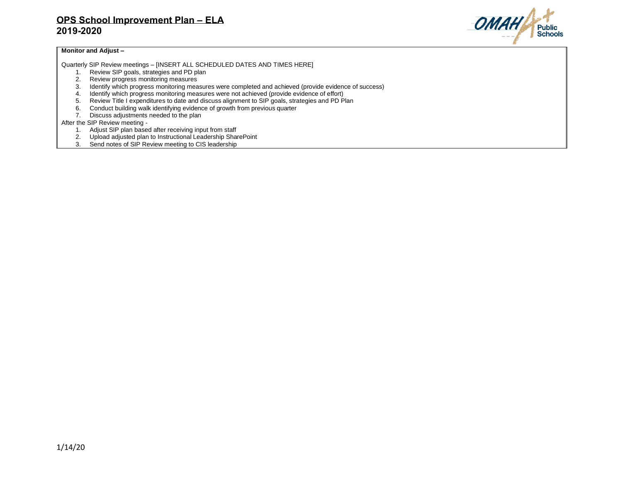# **OPS School Improvement Plan – ELA 2019-2020**



#### **Monitor and Adjust –**

Quarterly SIP Review meetings – [INSERT ALL SCHEDULED DATES AND TIMES HERE]

- 1. Review SIP goals, strategies and PD plan
- 2. Review progress monitoring measures
- 3. Identify which progress monitoring measures were completed and achieved (provide evidence of success)
- 4. Identify which progress monitoring measures were not achieved (provide evidence of effort)
- 5. Review Title I expenditures to date and discuss alignment to SIP goals, strategies and PD Plan
- 6. Conduct building walk identifying evidence of growth from previous quarter
- 7. Discuss adjustments needed to the plan

After the SIP Review meeting -

- 1. Adjust SIP plan based after receiving input from staff
- 2. Upload adjusted plan to Instructional Leadership SharePoint
- 3. Send notes of SIP Review meeting to CIS leadership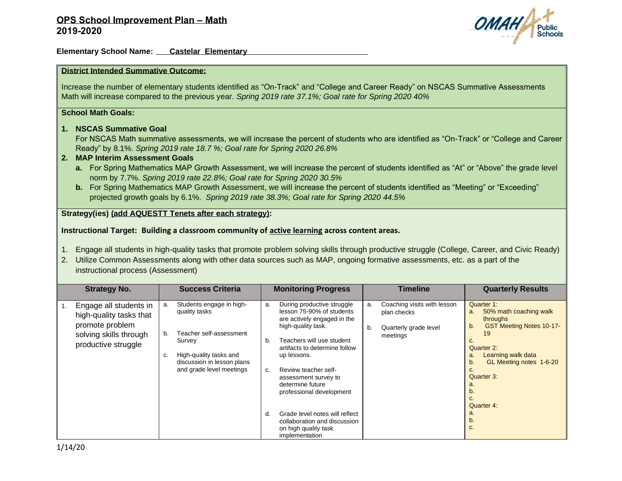# **OPS School Improvement Plan – Math 2019-2020**



**Elementary School Name: Castelar Elementary** 

#### **District Intended Summative Outcome:**

Increase the number of elementary students identified as "On-Track" and "College and Career Ready" on NSCAS Summative Assessments Math will increase compared to the previous year. *Spring 2019 rate 37.1%; Goal rate for Spring 2020 40%*

### **School Math Goals:**

### **1. NSCAS Summative Goal**

For NSCAS Math summative assessments, we will increase the percent of students who are identified as "On-Track" or "College and Career Ready" by 8.1%. *Spring 2019 rate 18.7 %; Goal rate for Spring 2020 26.8%*

### **2. MAP Interim Assessment Goals**

- **a.** For Spring Mathematics MAP Growth Assessment, we will increase the percent of students identified as "At" or "Above" the grade level norm by 7.7%. *Spring 2019 rate 22.8%; Goal rate for Spring 2020 30.5%*
- **b.** For Spring Mathematics MAP Growth Assessment, we will increase the percent of students identified as "Meeting" or "Exceeding" projected growth goals by 6.1%. *Spring 2019 rate 38.3%; Goal rate for Spring 2020 44.5%*

### **Strategy(ies) (add AQUESTT Tenets after each strategy):**

**Instructional Target: Building a classroom community of active learning across content areas.**

- 1. Engage all students in high-quality tasks that promote problem solving skills through productive struggle (College, Career, and Civic Ready)
- 2. Utilize Common Assessments along with other data sources such as MAP, ongoing formative assessments, etc. as a part of the instructional process (Assessment)

| <b>Strategy No.</b>                                                                                                   |                | <b>Success Criteria</b>                                                                                                                                            |                            | <b>Monitoring Progress</b>                                                                                                                                                                                                                                                                |          | <b>Timeline</b>                                                                 | <b>Quarterly Results</b>                                                                                                                                                                                                                   |
|-----------------------------------------------------------------------------------------------------------------------|----------------|--------------------------------------------------------------------------------------------------------------------------------------------------------------------|----------------------------|-------------------------------------------------------------------------------------------------------------------------------------------------------------------------------------------------------------------------------------------------------------------------------------------|----------|---------------------------------------------------------------------------------|--------------------------------------------------------------------------------------------------------------------------------------------------------------------------------------------------------------------------------------------|
| Engage all students in<br>high-quality tasks that<br>promote problem<br>solving skills through<br>productive struggle | a.<br>b.<br>c. | Students engage in high-<br>quality tasks<br>Teacher self-assessment<br>Survey<br>High-quality tasks and<br>discussion in lesson plans<br>and grade level meetings | a.<br>b.<br>C <sub>1</sub> | During productive struggle<br>lesson 75-90% of students<br>are actively engaged in the<br>high-quality task.<br>Teachers will use student<br>artifacts to determine follow<br>up lessons.<br>Review teacher self-<br>assessment survey to<br>determine future<br>professional development | a.<br>b. | Coaching visits with lesson<br>plan checks<br>Quarterly grade level<br>meetings | Quarter 1:<br>50% math coaching walk<br>a.<br>throughs<br><b>GST Meeting Notes 10-17-</b><br>b.<br>19<br>C.<br>Quarter 2:<br>Learning walk data<br>a.<br>GL Meeting notes 1-6-20<br>b.<br>C.<br>Quarter 3:<br>а.<br>b.<br>c.<br>Quarter 4: |
|                                                                                                                       |                |                                                                                                                                                                    | d.                         | Grade level notes will reflect<br>collaboration and discussion<br>on high quality task<br>implementation                                                                                                                                                                                  |          |                                                                                 | a.<br>b.<br>C.                                                                                                                                                                                                                             |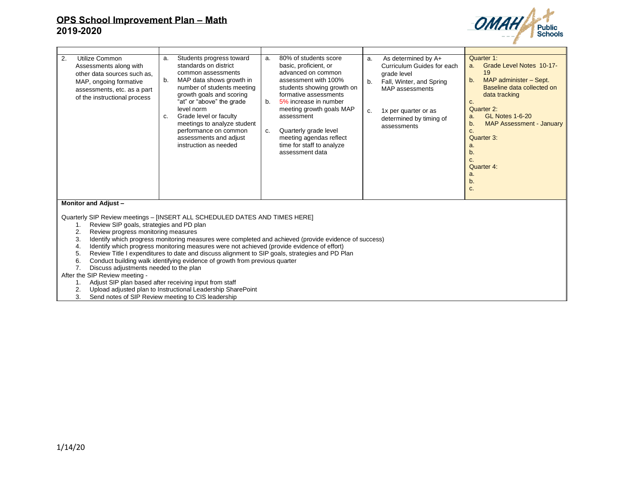# **OPS School Improvement Plan – Math 2019-2020**



| 2.<br>Utilize Common<br>Assessments along with<br>other data sources such as.<br>MAP, ongoing formative<br>assessments, etc. as a part<br>of the instructional process                                                                                                                                                                                                                                                                                                                                                                                                                                                                                                                                                                                                                                                                                                       | Students progress toward<br>a.<br>standards on district<br>common assessments<br>MAP data shows growth in<br>b.<br>number of students meeting<br>growth goals and scoring<br>"at" or "above" the grade<br>level norm<br>Grade level or faculty<br>C.<br>meetings to analyze student<br>performance on common<br>assessments and adjust<br>instruction as needed | 80% of students score<br>a.<br>basic, proficient, or<br>advanced on common<br>assessment with 100%<br>students showing growth on<br>formative assessments<br>5% increase in number<br>$b_{-}$<br>meeting growth goals MAP<br>assessment<br>Quarterly grade level<br>C.<br>meeting agendas reflect<br>time for staff to analyze<br>assessment data | As determined by A+<br>a.<br>Curriculum Guides for each<br>grade level<br>Fall, Winter, and Spring<br>b.<br>MAP assessments<br>1x per quarter or as<br>c.<br>determined by timing of<br>assessments | Quarter 1:<br>Grade Level Notes 10-17-<br>a <sub>z</sub><br>19<br>MAP administer - Sept.<br>b.<br>Baseline data collected on<br>data tracking<br>C.<br>Quarter 2:<br><b>GL Notes 1-6-20</b><br>а.<br><b>MAP Assessment - January</b><br>b.<br>C.<br>Quarter 3:<br>а.<br>b.<br>C.<br>Quarter 4:<br>а.<br>b.<br>C. |  |  |
|------------------------------------------------------------------------------------------------------------------------------------------------------------------------------------------------------------------------------------------------------------------------------------------------------------------------------------------------------------------------------------------------------------------------------------------------------------------------------------------------------------------------------------------------------------------------------------------------------------------------------------------------------------------------------------------------------------------------------------------------------------------------------------------------------------------------------------------------------------------------------|-----------------------------------------------------------------------------------------------------------------------------------------------------------------------------------------------------------------------------------------------------------------------------------------------------------------------------------------------------------------|---------------------------------------------------------------------------------------------------------------------------------------------------------------------------------------------------------------------------------------------------------------------------------------------------------------------------------------------------|-----------------------------------------------------------------------------------------------------------------------------------------------------------------------------------------------------|------------------------------------------------------------------------------------------------------------------------------------------------------------------------------------------------------------------------------------------------------------------------------------------------------------------|--|--|
| Monitor and Adjust-                                                                                                                                                                                                                                                                                                                                                                                                                                                                                                                                                                                                                                                                                                                                                                                                                                                          |                                                                                                                                                                                                                                                                                                                                                                 |                                                                                                                                                                                                                                                                                                                                                   |                                                                                                                                                                                                     |                                                                                                                                                                                                                                                                                                                  |  |  |
| Quarterly SIP Review meetings - [INSERT ALL SCHEDULED DATES AND TIMES HERE]<br>Review SIP goals, strategies and PD plan<br>1.<br>Review progress monitoring measures<br>2.<br>Identify which progress monitoring measures were completed and achieved (provide evidence of success)<br>3.<br>Identify which progress monitoring measures were not achieved (provide evidence of effort)<br>4.<br>Review Title I expenditures to date and discuss alignment to SIP goals, strategies and PD Plan<br>5.<br>6.<br>Conduct building walk identifying evidence of growth from previous quarter<br>7.<br>Discuss adjustments needed to the plan<br>After the SIP Review meeting -<br>Adjust SIP plan based after receiving input from staff<br>1.<br>Upload adjusted plan to Instructional Leadership SharePoint<br>2.<br>Send notes of SIP Review meeting to CIS leadership<br>3. |                                                                                                                                                                                                                                                                                                                                                                 |                                                                                                                                                                                                                                                                                                                                                   |                                                                                                                                                                                                     |                                                                                                                                                                                                                                                                                                                  |  |  |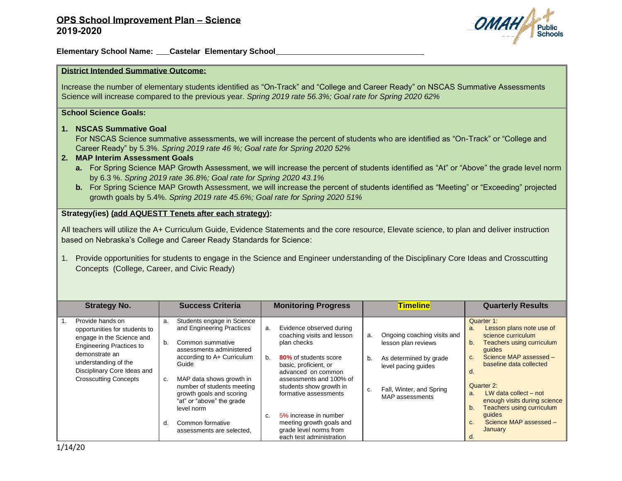# **OPS School Improvement Plan – Science 2019-2020**



**Elementary School Name: Castelar Elementary School** 

#### **District Intended Summative Outcome:**

Increase the number of elementary students identified as "On-Track" and "College and Career Ready" on NSCAS Summative Assessments Science will increase compared to the previous year. *Spring 2019 rate 56.3%; Goal rate for Spring 2020 62%*

### **School Science Goals:**

### **1. NSCAS Summative Goal**

For NSCAS Science summative assessments, we will increase the percent of students who are identified as "On-Track" or "College and Career Ready" by 5.3%. *Spring 2019 rate 46 %; Goal rate for Spring 2020 52%*

### **2. MAP Interim Assessment Goals**

- **a.** For Spring Science MAP Growth Assessment, we will increase the percent of students identified as "At" or "Above" the grade level norm by 6.3 %. *Spring 2019 rate 36.8%; Goal rate for Spring 2020 43.1%*
- **b.** For Spring Science MAP Growth Assessment, we will increase the percent of students identified as "Meeting" or "Exceeding" projected growth goals by 5.4%. *Spring 2019 rate 45.6%; Goal rate for Spring 2020 51%*

### **Strategy(ies) (add AQUESTT Tenets after each strategy):**

All teachers will utilize the A+ Curriculum Guide, Evidence Statements and the core resource, Elevate science, to plan and deliver instruction based on Nebraska's College and Career Ready Standards for Science:

1. Provide opportunities for students to engage in the Science and Engineer understanding of the Disciplinary Core Ideas and Crosscutting Concepts (College, Career, and Civic Ready)

| <b>Strategy No.</b>                                                                                                                                                                                                        | <b>Success Criteria</b>                                                                                                                                                                                                                                                                           | <b>Monitoring Progress</b>                                                                                                                                                                                                               | <b>Timeline</b>                                                                                                                                                      | <b>Quarterly Results</b>                                                                                                                                                                                                                                                                                                                 |
|----------------------------------------------------------------------------------------------------------------------------------------------------------------------------------------------------------------------------|---------------------------------------------------------------------------------------------------------------------------------------------------------------------------------------------------------------------------------------------------------------------------------------------------|------------------------------------------------------------------------------------------------------------------------------------------------------------------------------------------------------------------------------------------|----------------------------------------------------------------------------------------------------------------------------------------------------------------------|------------------------------------------------------------------------------------------------------------------------------------------------------------------------------------------------------------------------------------------------------------------------------------------------------------------------------------------|
| Provide hands on<br>opportunities for students to<br>engage in the Science and<br><b>Engineering Practices to</b><br>demonstrate an<br>understanding of the<br>Disciplinary Core Ideas and<br><b>Crosscutting Concepts</b> | Students engage in Science<br>a.<br>and Engineering Practices<br>Common summative<br>b.<br>assessments administered<br>according to A+ Curriculum<br>Guide<br>MAP data shows growth in<br>C.<br>number of students meeting<br>growth goals and scoring<br>"at" or "above" the grade<br>level norm | Evidence observed during<br>a.<br>coaching visits and lesson<br>plan checks<br>80% of students score<br>b.<br>basic, proficient, or<br>advanced on common<br>assessments and 100% of<br>students show growth in<br>formative assessments | Ongoing coaching visits and<br>a.<br>lesson plan reviews<br>As determined by grade<br>b.<br>level pacing guides<br>Fall, Winter, and Spring<br>c.<br>MAP assessments | Quarter 1:<br>Lesson plans note use of<br>a.<br>science curriculum<br><b>Teachers using curriculum</b><br>b.<br>quides<br>Science MAP assessed -<br>C <sub>1</sub><br>baseline data collected<br>d.<br>Quarter 2:<br>$LW$ data collect – not<br>a <sub>z</sub><br>enough visits during science<br><b>Teachers using curriculum</b><br>b. |
|                                                                                                                                                                                                                            | Common formative<br>d.<br>assessments are selected.                                                                                                                                                                                                                                               | 5% increase in number<br>C.<br>meeting growth goals and<br>grade level norms from<br>each test administration                                                                                                                            |                                                                                                                                                                      | quides<br>Science MAP assessed -<br>January<br>d.                                                                                                                                                                                                                                                                                        |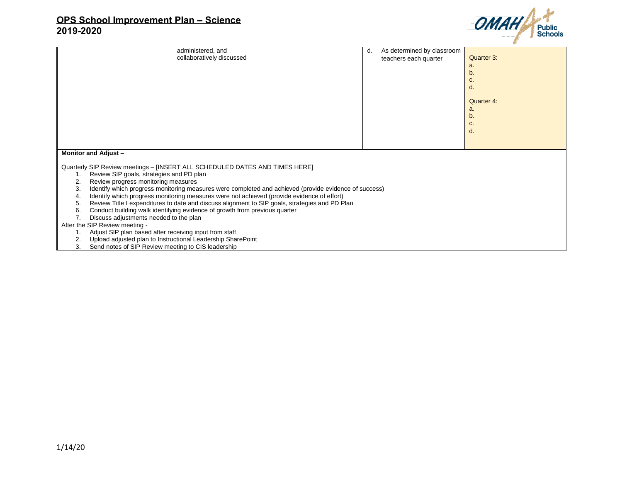# **OPS School Improvement Plan – Science 2019-2020**



|                                                                                                                                                                                                       | administered, and<br>collaboratively discussed                                                                                                                                                                                                                                                                                                                                                                                                                                     |                                                                                                       | As determined by classroom<br>d.<br>teachers each quarter | Quarter 3:<br>а.<br>b.<br>d.<br>Quarter 4:<br>a.<br>b.<br>c.<br>d. |
|-------------------------------------------------------------------------------------------------------------------------------------------------------------------------------------------------------|------------------------------------------------------------------------------------------------------------------------------------------------------------------------------------------------------------------------------------------------------------------------------------------------------------------------------------------------------------------------------------------------------------------------------------------------------------------------------------|-------------------------------------------------------------------------------------------------------|-----------------------------------------------------------|--------------------------------------------------------------------|
|                                                                                                                                                                                                       |                                                                                                                                                                                                                                                                                                                                                                                                                                                                                    |                                                                                                       |                                                           |                                                                    |
| Monitor and Adjust -                                                                                                                                                                                  |                                                                                                                                                                                                                                                                                                                                                                                                                                                                                    |                                                                                                       |                                                           |                                                                    |
| Review SIP goals, strategies and PD plan<br>Review progress monitoring measures<br>2.<br>3.<br>4.<br>5.<br>6.<br>Discuss adjustments needed to the plan<br>7.<br>After the SIP Review meeting -<br>2. | Quarterly SIP Review meetings - [INSERT ALL SCHEDULED DATES AND TIMES HERE]<br>Identify which progress monitoring measures were not achieved (provide evidence of effort)<br>Review Title I expenditures to date and discuss alignment to SIP goals, strategies and PD Plan<br>Conduct building walk identifying evidence of growth from previous quarter<br>Adjust SIP plan based after receiving input from staff<br>Upload adjusted plan to Instructional Leadership SharePoint | Identify which progress monitoring measures were completed and achieved (provide evidence of success) |                                                           |                                                                    |

3. Send notes of SIP Review meeting to CIS leadership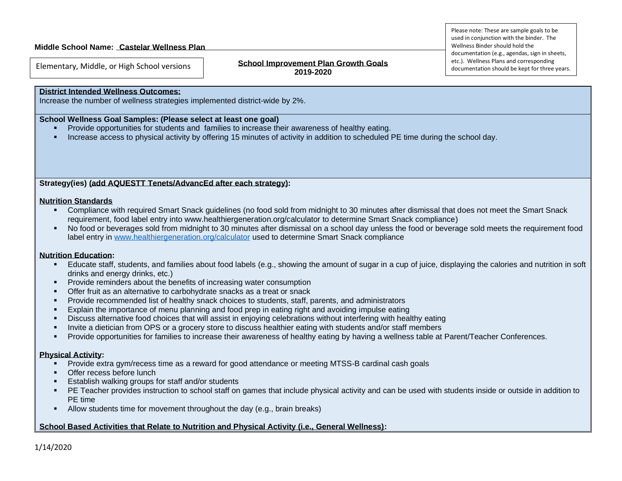#### **Middle School Name: Castelar Wellness Plan**

#### **School Improvement Plan Growth Goals 2019-2020** Elementary, Middle, or High School versions **Element on the School Improvement Plan Growth Goals**

#### **District Intended Wellness Outcomes:**

Increase the number of wellness strategies implemented district-wide by 2%.

### **School Wellness Goal Samples: (Please select at least one goal)**

- Provide opportunities for students and families to increase their awareness of healthy eating.
- Increase access to physical activity by offering 15 minutes of activity in addition to scheduled PE time during the school day.

**Strategy(ies) (add AQUESTT Tenets/AdvancEd after each strategy):**

#### **Nutrition Standards**

- Compliance with required Smart Snack guidelines (no food sold from midnight to 30 minutes after dismissal that does not meet the Smart Snack requirement, food label entry into www.healthiergeneration.org/calculator to determine Smart Snack compliance)
- No food or beverages sold from midnight to 30 minutes after dismissal on a school day unless the food or beverage sold meets the requirement food label entry in [www.healthiergeneration.org/calculator](http://www.healthiergeneration.org/calculator) used to determine Smart Snack compliance

### **Nutrition Education:**

- Educate staff, students, and families about food labels (e.g., showing the amount of sugar in a cup of juice, displaying the calories and nutrition in soft drinks and energy drinks, etc.)
- Provide reminders about the benefits of increasing water consumption
- Offer fruit as an alternative to carbohydrate snacks as a treat or snack
- **•** Provide recommended list of healthy snack choices to students, staff, parents, and administrators
- **Explain the importance of menu planning and food prep in eating right and avoiding impulse eating**
- Discuss alternative food choices that will assist in enjoying celebrations without interfering with healthy eating
- Invite a dietician from OPS or a grocery store to discuss healthier eating with students and/or staff members
- Provide opportunities for families to increase their awareness of healthy eating by having a wellness table at Parent/Teacher Conferences.

### **Physical Activity:**

- Provide extra gym/recess time as a reward for good attendance or meeting MTSS-B cardinal cash goals
- Offer recess before lunch
- Establish walking groups for staff and/or students
- PE Teacher provides instruction to school staff on games that include physical activity and can be used with students inside or outside in addition to PE time
- **E** Allow students time for movement throughout the day (e.g., brain breaks)

### **School Based Activities that Relate to Nutrition and Physical Activity (i.e., General Wellness):**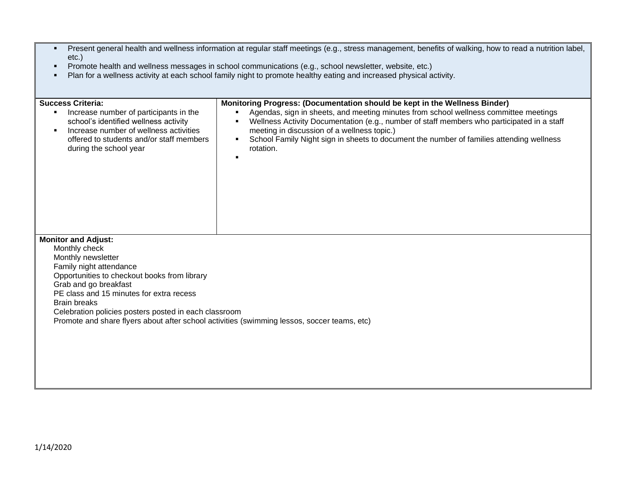- Present general health and wellness information at regular staff meetings (e.g., stress management, benefits of walking, how to read a nutrition label, etc.)
- Promote health and wellness messages in school communications (e.g., school newsletter, website, etc.)
- Plan for a wellness activity at each school family night to promote healthy eating and increased physical activity.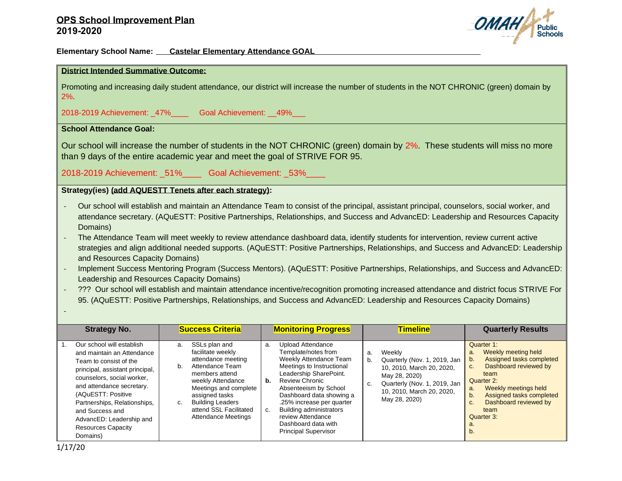

a. b.

**Elementary School Name: Castelar Elementary Attendance GOAL**

#### **District Intended Summative Outcome:** Promoting and increasing daily student attendance, our district will increase the number of students in the NOT CHRONIC (green) domain by 2%. 2018-2019 Achievement: \_47%\_\_\_\_ Goal Achievement: \_\_49%\_\_\_ **School Attendance Goal:**  Our school will increase the number of students in the NOT CHRONIC (green) domain by 2%. These students will miss no more than 9 days of the entire academic year and meet the goal of STRIVE FOR 95. 2018-2019 Achievement:  $51\%$  Goal Achievement:  $53\%$ **Strategy(ies) (add AQUESTT Tenets after each strategy):** - Our school will establish and maintain an Attendance Team to consist of the principal, assistant principal, counselors, social worker, and attendance secretary. (AQuESTT: Positive Partnerships, Relationships, and Success and AdvancED: Leadership and Resources Capacity Domains) The Attendance Team will meet weekly to review attendance dashboard data, identify students for intervention, review current active strategies and align additional needed supports. (AQuESTT: Positive Partnerships, Relationships, and Success and AdvancED: Leadership and Resources Capacity Domains) Implement Success Mentoring Program (Success Mentors). (AQuESTT: Positive Partnerships, Relationships, and Success and AdvancED: Leadership and Resources Capacity Domains) - ??? Our school will establish and maintain attendance incentive/recognition promoting increased attendance and district focus STRIVE For 95. (AQuESTT: Positive Partnerships, Relationships, and Success and AdvancED: Leadership and Resources Capacity Domains) - **Strategy No. Success Criteria Nonitoring Progress Timeline Quarterly Results** 1. Our school will establish and maintain an Attendance Team to consist of the principal, assistant principal, counselors, social worker, and attendance secretary. (AQuESTT: Positive Partnerships, Relationships, and Success and AdvancED: Leadership and a. SSLs plan and facilitate weekly attendance meeting b. Attendance Team members attend weekly Attendance Meetings and complete assigned tasks c. Building Leaders attend SSL Facilitated Attendance Meetings a. Upload Attendance Template/notes from Weekly Attendance Team Meetings to Instructional Leadership SharePoint. **b.** Review Chronic Absenteeism by School Dashboard data showing a .25% increase per quarter c. Building administrators review Attendance a. Weekly b. Quarterly (Nov. 1, 2019, Jan 10, 2010, March 20, 2020, May 28, 2020) c. Quarterly (Nov. 1, 2019, Jan 10, 2010, March 20, 2020, May 28, 2020) Quarter 1: a. Weekly meeting held b. Assigned tasks completed c. Dashboard reviewed by team Quarter 2: a. Weekly meetings held b. Assigned tasks completed c. Dashboard reviewed by team Quarter 3:

Dashboard data with Principal Supervisor

Resources Capacity

Domains)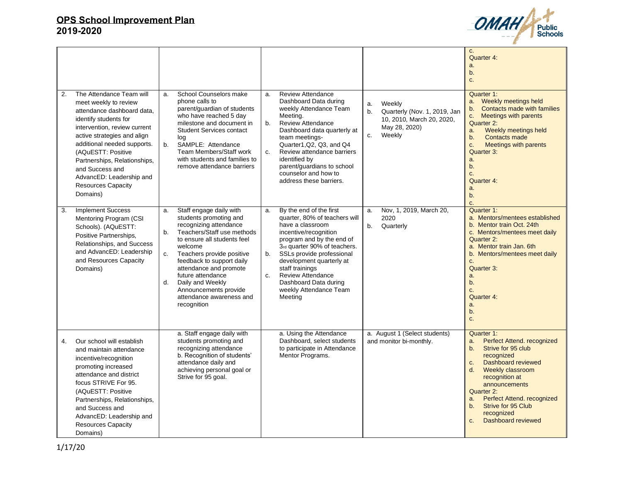# **OPS School Improvement Plan 2019-2020**



|    |                                                                                                                                                                                                                                                                                                                                                      |                      |                                                                                                                                                                                                                                                                                                                                                      |                |                                                                                                                                                                                                                                                                                                                                          |                |                                                                                                | c.<br>Quarter 4:<br>a.<br>b.<br>c.                                                                                                                                                                                                                                                                                           |
|----|------------------------------------------------------------------------------------------------------------------------------------------------------------------------------------------------------------------------------------------------------------------------------------------------------------------------------------------------------|----------------------|------------------------------------------------------------------------------------------------------------------------------------------------------------------------------------------------------------------------------------------------------------------------------------------------------------------------------------------------------|----------------|------------------------------------------------------------------------------------------------------------------------------------------------------------------------------------------------------------------------------------------------------------------------------------------------------------------------------------------|----------------|------------------------------------------------------------------------------------------------|------------------------------------------------------------------------------------------------------------------------------------------------------------------------------------------------------------------------------------------------------------------------------------------------------------------------------|
| 2. | The Attendance Team will<br>meet weekly to review<br>attendance dashboard data.<br>identify students for<br>intervention, review current<br>active strategies and align<br>additional needed supports.<br>(AQuESTT: Positive<br>Partnerships, Relationships,<br>and Success and<br>AdvancED: Leadership and<br><b>Resources Capacity</b><br>Domains) | a.<br>b.             | School Counselors make<br>phone calls to<br>parent/guardian of students<br>who have reached 5 day<br>milestone and document in<br><b>Student Services contact</b><br>log<br>SAMPLE: Attendance<br>Team Members/Staff work<br>with students and families to<br>remove attendance barriers                                                             | a.<br>b.<br>C. | <b>Review Attendance</b><br>Dashboard Data during<br>weekly Attendance Team<br>Meeting.<br><b>Review Attendance</b><br>Dashboard data quarterly at<br>team meetings-<br>Quarter1, Q2, Q3, and Q4<br>Review attendance barriers<br>identified by<br>parent/guardians to school<br>counselor and how to<br>address these barriers.         | a.<br>b.<br>c. | Weekly<br>Quarterly (Nov. 1, 2019, Jan<br>10, 2010, March 20, 2020,<br>May 28, 2020)<br>Weekly | Quarter 1:<br>Weekly meetings held<br>a.<br>Contacts made with families<br>b.<br><b>Meetings with parents</b><br>c.<br>Quarter 2:<br>Weekly meetings held<br>a.<br><b>Contacts made</b><br>b.<br><b>Meetings with parents</b><br>C.<br>Quarter 3:<br>a.<br>b.<br>c.<br>Quarter 4:<br>a.<br>b.<br>C.                          |
| 3. | <b>Implement Success</b><br>Mentoring Program (CSI<br>Schools). (AQuESTT:<br>Positive Partnerships,<br>Relationships, and Success<br>and AdvancED: Leadership<br>and Resources Capacity<br>Domains)                                                                                                                                                  | a.<br>b.<br>C.<br>d. | Staff engage daily with<br>students promoting and<br>recognizing attendance<br>Teachers/Staff use methods<br>to ensure all students feel<br>welcome<br>Teachers provide positive<br>feedback to support daily<br>attendance and promote<br>future attendance<br>Daily and Weekly<br>Announcements provide<br>attendance awareness and<br>recognition | a.<br>b.<br>C. | By the end of the first<br>quarter, 80% of teachers will<br>have a classroom<br>incentive/recognition<br>program and by the end of<br>3rd quarter 90% of teachers.<br>SSLs provide professional<br>development quarterly at<br>staff trainings<br><b>Review Attendance</b><br>Dashboard Data during<br>weekly Attendance Team<br>Meeting | a.<br>b.       | Nov, 1, 2019, March 20,<br>2020<br>Quarterly                                                   | Quarter 1:<br>a. Mentors/mentees established<br>b. Mentor train Oct. 24th<br>c. Mentors/mentees meet daily<br>Quarter 2:<br>a. Mentor train Jan. 6th<br>b. Mentors/mentees meet daily<br>C.<br>Quarter 3:<br>a.<br>b.<br>C.<br>Quarter 4:<br>a.<br>b.<br>C.                                                                  |
| 4. | Our school will establish<br>and maintain attendance<br>incentive/recognition<br>promoting increased<br>attendance and district<br>focus STRIVE For 95.<br>(AQuESTT: Positive<br>Partnerships, Relationships,<br>and Success and<br>AdvancED: Leadership and<br><b>Resources Capacity</b><br>Domains)                                                |                      | a. Staff engage daily with<br>students promoting and<br>recognizing attendance<br>b. Recognition of students'<br>attendance daily and<br>achieving personal goal or<br>Strive for 95 goal.                                                                                                                                                           |                | a. Using the Attendance<br>Dashboard, select students<br>to participate in Attendance<br>Mentor Programs.                                                                                                                                                                                                                                |                | a. August 1 (Select students)<br>and monitor bi-monthly.                                       | Quarter 1:<br>Perfect Attend. recognized<br>a.<br>Strive for 95 club<br>b.<br>recognized<br>Dashboard reviewed<br>C.<br><b>Weekly classroom</b><br>d.<br>recognition at<br>announcements<br>Quarter 2:<br>Perfect Attend. recognized<br>а.<br>Strive for 95 Club<br>b.<br>recognized<br>Dashboard reviewed<br>C <sub>1</sub> |